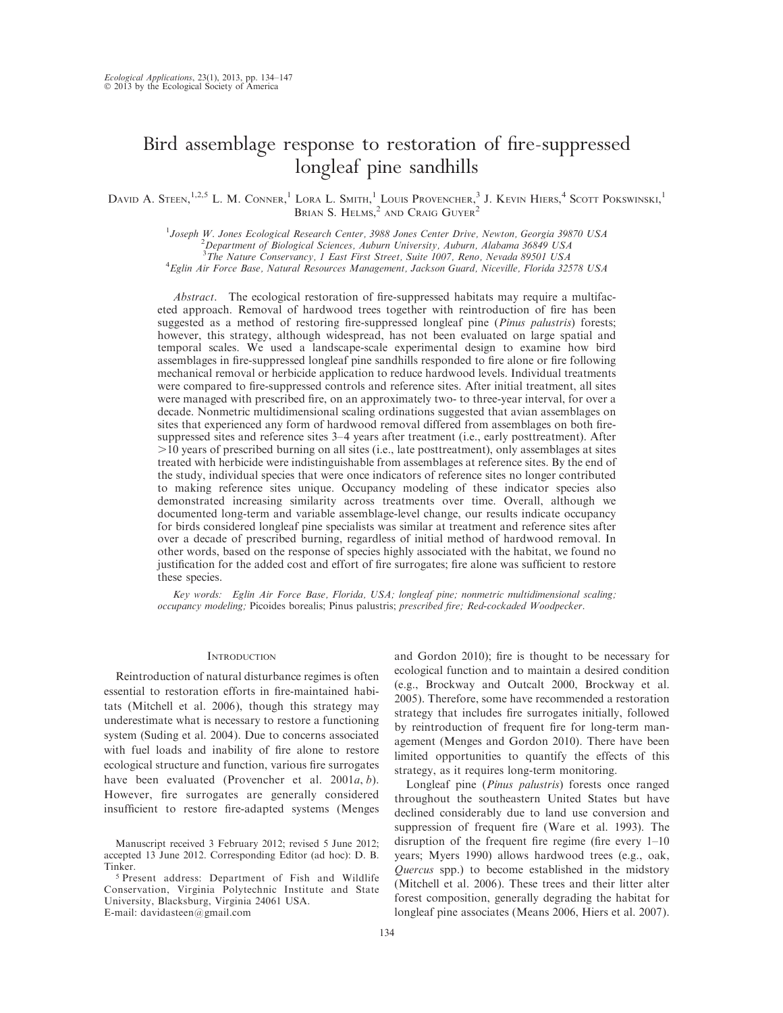# Bird assemblage response to restoration of fire-suppressed longleaf pine sandhills

DAVID A. STEEN,<sup>1,2,5</sup> L. M. CONNER,<sup>1</sup> LORA L. SMITH,<sup>1</sup> LOUIS PROVENCHER,<sup>3</sup> J. KEVIN HIERS,<sup>4</sup> SCOTT POKSWINSKI,<sup>1</sup> BRIAN S. HELMS, $^2$  and Craig Guyer<sup>2</sup>

<sup>1</sup>Joseph W. Jones Ecological Research Center, 3988 Jones Center Drive, Newton, Georgia 39870 USA<br><sup>2</sup> Department of Biological Sciences, Auburn University, Auburn, Alabama 36840 USA  $^{2}$ Department of Biological Sciences, Auburn University, Auburn, Alabama 36849 USA <sup>3</sup>The Nature Conservancy, 1 East First Street, Suite 1007, Reno, Nevada 89501 USA<br><sup>4</sup> Ealin Air Earce Base, Natural Resources Managament, Lackson Guard, Nicoville, Florida 325 Eglin Air Force Base, Natural Resources Management, Jackson Guard, Niceville, Florida 32578 USA

Abstract. The ecological restoration of fire-suppressed habitats may require a multifaceted approach. Removal of hardwood trees together with reintroduction of fire has been suggested as a method of restoring fire-suppressed longleaf pine (Pinus palustris) forests; however, this strategy, although widespread, has not been evaluated on large spatial and temporal scales. We used a landscape-scale experimental design to examine how bird assemblages in fire-suppressed longleaf pine sandhills responded to fire alone or fire following mechanical removal or herbicide application to reduce hardwood levels. Individual treatments were compared to fire-suppressed controls and reference sites. After initial treatment, all sites were managed with prescribed fire, on an approximately two- to three-year interval, for over a decade. Nonmetric multidimensional scaling ordinations suggested that avian assemblages on sites that experienced any form of hardwood removal differed from assemblages on both firesuppressed sites and reference sites 3–4 years after treatment (i.e., early posttreatment). After .10 years of prescribed burning on all sites (i.e., late posttreatment), only assemblages at sites treated with herbicide were indistinguishable from assemblages at reference sites. By the end of the study, individual species that were once indicators of reference sites no longer contributed to making reference sites unique. Occupancy modeling of these indicator species also demonstrated increasing similarity across treatments over time. Overall, although we documented long-term and variable assemblage-level change, our results indicate occupancy for birds considered longleaf pine specialists was similar at treatment and reference sites after over a decade of prescribed burning, regardless of initial method of hardwood removal. In other words, based on the response of species highly associated with the habitat, we found no justification for the added cost and effort of fire surrogates; fire alone was sufficient to restore these species.

Key words: Eglin Air Force Base, Florida, USA; longleaf pine; nonmetric multidimensional scaling; occupancy modeling; Picoides borealis; Pinus palustris; prescribed fire; Red-cockaded Woodpecker.

# **INTRODUCTION**

Reintroduction of natural disturbance regimes is often essential to restoration efforts in fire-maintained habitats (Mitchell et al. 2006), though this strategy may underestimate what is necessary to restore a functioning system (Suding et al. 2004). Due to concerns associated with fuel loads and inability of fire alone to restore ecological structure and function, various fire surrogates have been evaluated (Provencher et al.  $2001a, b$ ). However, fire surrogates are generally considered insufficient to restore fire-adapted systems (Menges

<sup>5</sup> Present address: Department of Fish and Wildlife Conservation, Virginia Polytechnic Institute and State University, Blacksburg, Virginia 24061 USA. E-mail: davidasteen@gmail.com

and Gordon 2010); fire is thought to be necessary for ecological function and to maintain a desired condition (e.g., Brockway and Outcalt 2000, Brockway et al. 2005). Therefore, some have recommended a restoration strategy that includes fire surrogates initially, followed by reintroduction of frequent fire for long-term management (Menges and Gordon 2010). There have been limited opportunities to quantify the effects of this strategy, as it requires long-term monitoring.

Longleaf pine (Pinus palustris) forests once ranged throughout the southeastern United States but have declined considerably due to land use conversion and suppression of frequent fire (Ware et al. 1993). The disruption of the frequent fire regime (fire every 1–10 years; Myers 1990) allows hardwood trees (e.g., oak, Quercus spp.) to become established in the midstory (Mitchell et al. 2006). These trees and their litter alter forest composition, generally degrading the habitat for longleaf pine associates (Means 2006, Hiers et al. 2007).

Manuscript received 3 February 2012; revised 5 June 2012; accepted 13 June 2012. Corresponding Editor (ad hoc): D. B. Tinker.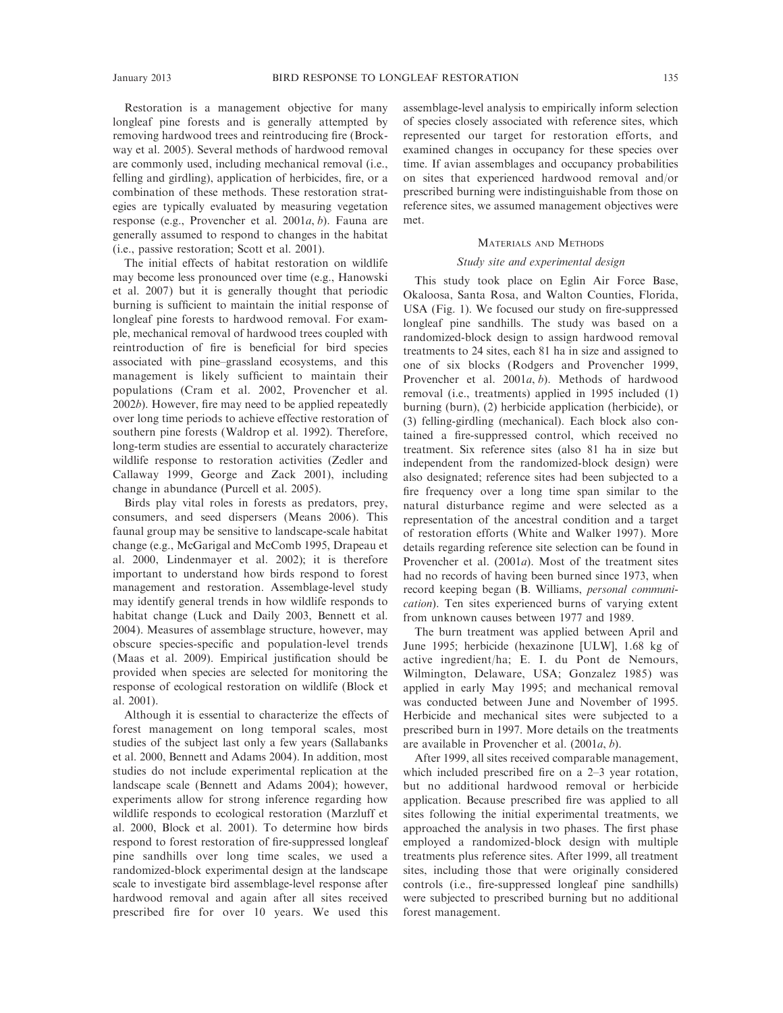Restoration is a management objective for many longleaf pine forests and is generally attempted by removing hardwood trees and reintroducing fire (Brockway et al. 2005). Several methods of hardwood removal are commonly used, including mechanical removal (i.e., felling and girdling), application of herbicides, fire, or a combination of these methods. These restoration strategies are typically evaluated by measuring vegetation response (e.g., Provencher et al. 2001a, b). Fauna are generally assumed to respond to changes in the habitat (i.e., passive restoration; Scott et al. 2001).

The initial effects of habitat restoration on wildlife may become less pronounced over time (e.g., Hanowski et al. 2007) but it is generally thought that periodic burning is sufficient to maintain the initial response of longleaf pine forests to hardwood removal. For example, mechanical removal of hardwood trees coupled with reintroduction of fire is beneficial for bird species associated with pine–grassland ecosystems, and this management is likely sufficient to maintain their populations (Cram et al. 2002, Provencher et al. 2002b). However, fire may need to be applied repeatedly over long time periods to achieve effective restoration of southern pine forests (Waldrop et al. 1992). Therefore, long-term studies are essential to accurately characterize wildlife response to restoration activities (Zedler and Callaway 1999, George and Zack 2001), including change in abundance (Purcell et al. 2005).

Birds play vital roles in forests as predators, prey, consumers, and seed dispersers (Means 2006). This faunal group may be sensitive to landscape-scale habitat change (e.g., McGarigal and McComb 1995, Drapeau et al. 2000, Lindenmayer et al. 2002); it is therefore important to understand how birds respond to forest management and restoration. Assemblage-level study may identify general trends in how wildlife responds to habitat change (Luck and Daily 2003, Bennett et al. 2004). Measures of assemblage structure, however, may obscure species-specific and population-level trends (Maas et al. 2009). Empirical justification should be provided when species are selected for monitoring the response of ecological restoration on wildlife (Block et al. 2001).

Although it is essential to characterize the effects of forest management on long temporal scales, most studies of the subject last only a few years (Sallabanks et al. 2000, Bennett and Adams 2004). In addition, most studies do not include experimental replication at the landscape scale (Bennett and Adams 2004); however, experiments allow for strong inference regarding how wildlife responds to ecological restoration (Marzluff et al. 2000, Block et al. 2001). To determine how birds respond to forest restoration of fire-suppressed longleaf pine sandhills over long time scales, we used a randomized-block experimental design at the landscape scale to investigate bird assemblage-level response after hardwood removal and again after all sites received prescribed fire for over 10 years. We used this assemblage-level analysis to empirically inform selection of species closely associated with reference sites, which represented our target for restoration efforts, and examined changes in occupancy for these species over time. If avian assemblages and occupancy probabilities on sites that experienced hardwood removal and/or prescribed burning were indistinguishable from those on reference sites, we assumed management objectives were met.

#### MATERIALS AND METHODS

## Study site and experimental design

This study took place on Eglin Air Force Base, Okaloosa, Santa Rosa, and Walton Counties, Florida, USA (Fig. 1). We focused our study on fire-suppressed longleaf pine sandhills. The study was based on a randomized-block design to assign hardwood removal treatments to 24 sites, each 81 ha in size and assigned to one of six blocks (Rodgers and Provencher 1999, Provencher et al. 2001a, b). Methods of hardwood removal (i.e., treatments) applied in 1995 included (1) burning (burn), (2) herbicide application (herbicide), or (3) felling-girdling (mechanical). Each block also contained a fire-suppressed control, which received no treatment. Six reference sites (also 81 ha in size but independent from the randomized-block design) were also designated; reference sites had been subjected to a fire frequency over a long time span similar to the natural disturbance regime and were selected as a representation of the ancestral condition and a target of restoration efforts (White and Walker 1997). More details regarding reference site selection can be found in Provencher et al. (2001a). Most of the treatment sites had no records of having been burned since 1973, when record keeping began (B. Williams, personal communication). Ten sites experienced burns of varying extent from unknown causes between 1977 and 1989.

The burn treatment was applied between April and June 1995; herbicide (hexazinone [ULW], 1.68 kg of active ingredient/ha; E. I. du Pont de Nemours, Wilmington, Delaware, USA; Gonzalez 1985) was applied in early May 1995; and mechanical removal was conducted between June and November of 1995. Herbicide and mechanical sites were subjected to a prescribed burn in 1997. More details on the treatments are available in Provencher et al. (2001a, b).

After 1999, all sites received comparable management, which included prescribed fire on a 2–3 year rotation, but no additional hardwood removal or herbicide application. Because prescribed fire was applied to all sites following the initial experimental treatments, we approached the analysis in two phases. The first phase employed a randomized-block design with multiple treatments plus reference sites. After 1999, all treatment sites, including those that were originally considered controls (i.e., fire-suppressed longleaf pine sandhills) were subjected to prescribed burning but no additional forest management.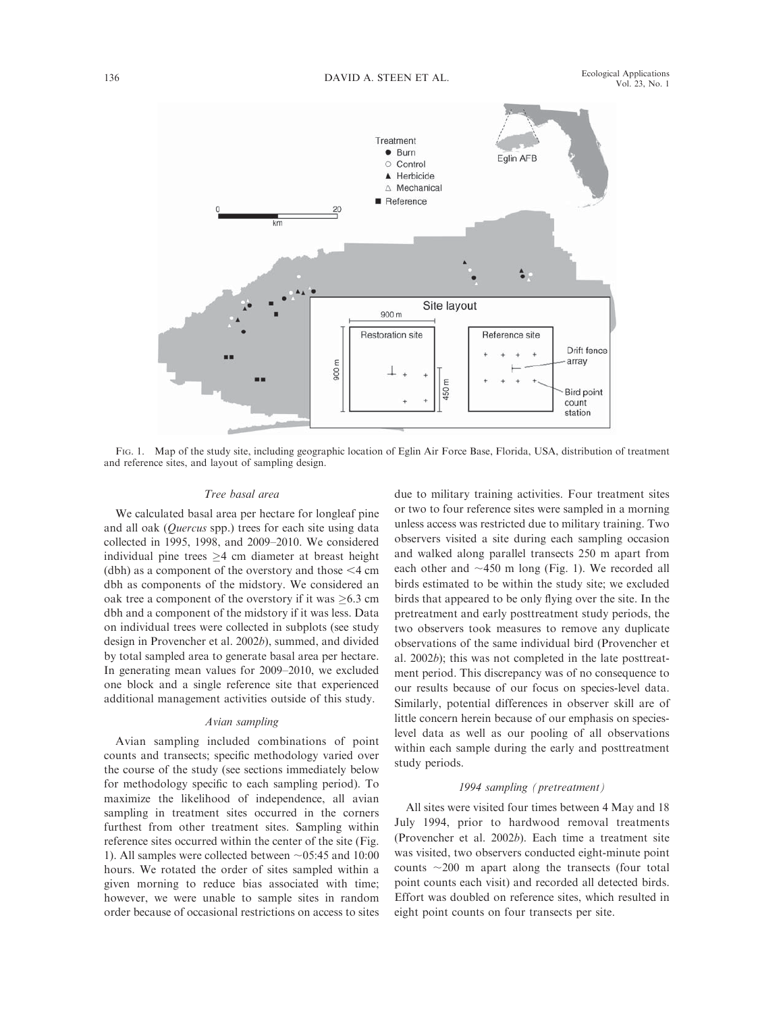

FIG. 1. Map of the study site, including geographic location of Eglin Air Force Base, Florida, USA, distribution of treatment and reference sites, and layout of sampling design.

# Tree basal area

We calculated basal area per hectare for longleaf pine and all oak (Quercus spp.) trees for each site using data collected in 1995, 1998, and 2009–2010. We considered individual pine trees  $\geq$ 4 cm diameter at breast height (dbh) as a component of the overstory and those  $\leq 4$  cm dbh as components of the midstory. We considered an oak tree a component of the overstory if it was  $\geq 6.3$  cm dbh and a component of the midstory if it was less. Data on individual trees were collected in subplots (see study design in Provencher et al. 2002b), summed, and divided by total sampled area to generate basal area per hectare. In generating mean values for 2009–2010, we excluded one block and a single reference site that experienced additional management activities outside of this study.

#### Avian sampling

Avian sampling included combinations of point counts and transects; specific methodology varied over the course of the study (see sections immediately below for methodology specific to each sampling period). To maximize the likelihood of independence, all avian sampling in treatment sites occurred in the corners furthest from other treatment sites. Sampling within reference sites occurred within the center of the site (Fig. 1). All samples were collected between  $\sim$ 05:45 and 10:00 hours. We rotated the order of sites sampled within a given morning to reduce bias associated with time; however, we were unable to sample sites in random order because of occasional restrictions on access to sites due to military training activities. Four treatment sites or two to four reference sites were sampled in a morning unless access was restricted due to military training. Two observers visited a site during each sampling occasion and walked along parallel transects 250 m apart from each other and  $\sim$ 450 m long (Fig. 1). We recorded all birds estimated to be within the study site; we excluded birds that appeared to be only flying over the site. In the pretreatment and early posttreatment study periods, the two observers took measures to remove any duplicate observations of the same individual bird (Provencher et al. 2002b); this was not completed in the late posttreatment period. This discrepancy was of no consequence to our results because of our focus on species-level data. Similarly, potential differences in observer skill are of little concern herein because of our emphasis on specieslevel data as well as our pooling of all observations within each sample during the early and posttreatment study periods.

# 1994 sampling (pretreatment)

All sites were visited four times between 4 May and 18 July 1994, prior to hardwood removal treatments (Provencher et al. 2002b). Each time a treatment site was visited, two observers conducted eight-minute point counts  $\sim$ 200 m apart along the transects (four total point counts each visit) and recorded all detected birds. Effort was doubled on reference sites, which resulted in eight point counts on four transects per site.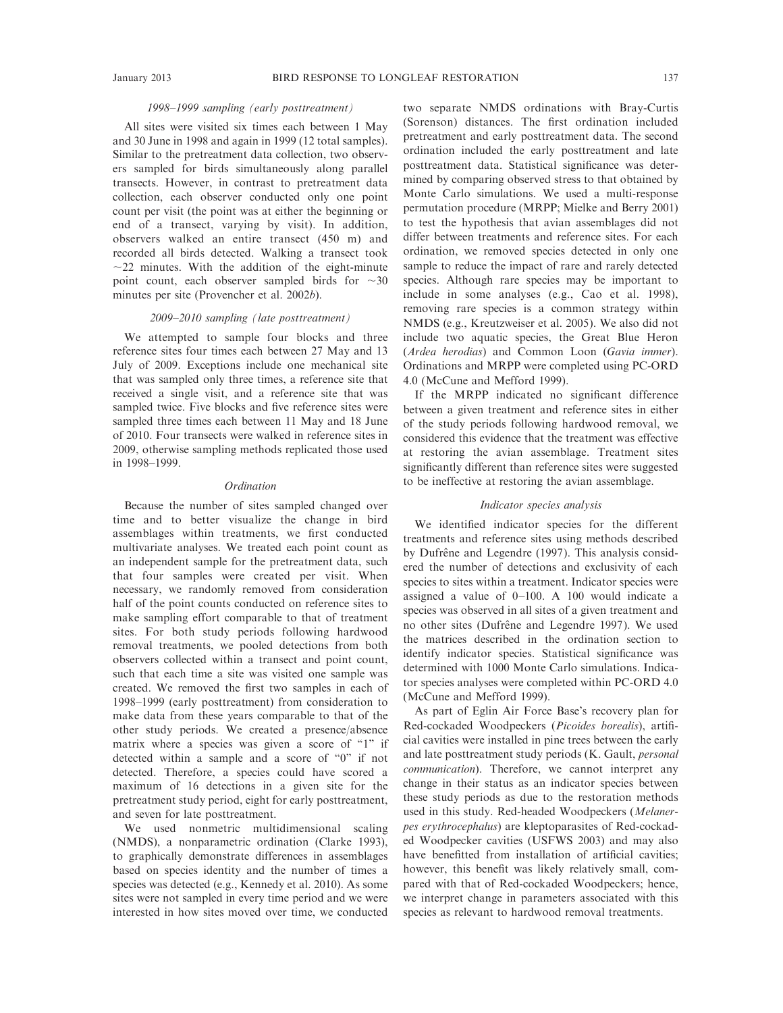# 1998–1999 sampling (early posttreatment)

All sites were visited six times each between 1 May and 30 June in 1998 and again in 1999 (12 total samples). Similar to the pretreatment data collection, two observers sampled for birds simultaneously along parallel transects. However, in contrast to pretreatment data collection, each observer conducted only one point count per visit (the point was at either the beginning or end of a transect, varying by visit). In addition, observers walked an entire transect (450 m) and recorded all birds detected. Walking a transect took  $\sim$ 22 minutes. With the addition of the eight-minute point count, each observer sampled birds for  $\sim$ 30 minutes per site (Provencher et al. 2002b).

# 2009–2010 sampling (late posttreatment)

We attempted to sample four blocks and three reference sites four times each between 27 May and 13 July of 2009. Exceptions include one mechanical site that was sampled only three times, a reference site that received a single visit, and a reference site that was sampled twice. Five blocks and five reference sites were sampled three times each between 11 May and 18 June of 2010. Four transects were walked in reference sites in 2009, otherwise sampling methods replicated those used in 1998–1999.

# **Ordination**

Because the number of sites sampled changed over time and to better visualize the change in bird assemblages within treatments, we first conducted multivariate analyses. We treated each point count as an independent sample for the pretreatment data, such that four samples were created per visit. When necessary, we randomly removed from consideration half of the point counts conducted on reference sites to make sampling effort comparable to that of treatment sites. For both study periods following hardwood removal treatments, we pooled detections from both observers collected within a transect and point count, such that each time a site was visited one sample was created. We removed the first two samples in each of 1998–1999 (early posttreatment) from consideration to make data from these years comparable to that of the other study periods. We created a presence/absence matrix where a species was given a score of "1" if detected within a sample and a score of ''0'' if not detected. Therefore, a species could have scored a maximum of 16 detections in a given site for the pretreatment study period, eight for early posttreatment, and seven for late posttreatment.

We used nonmetric multidimensional scaling (NMDS), a nonparametric ordination (Clarke 1993), to graphically demonstrate differences in assemblages based on species identity and the number of times a species was detected (e.g., Kennedy et al. 2010). As some sites were not sampled in every time period and we were interested in how sites moved over time, we conducted

two separate NMDS ordinations with Bray-Curtis (Sorenson) distances. The first ordination included pretreatment and early posttreatment data. The second ordination included the early posttreatment and late posttreatment data. Statistical significance was determined by comparing observed stress to that obtained by Monte Carlo simulations. We used a multi-response permutation procedure (MRPP; Mielke and Berry 2001) to test the hypothesis that avian assemblages did not differ between treatments and reference sites. For each ordination, we removed species detected in only one sample to reduce the impact of rare and rarely detected species. Although rare species may be important to include in some analyses (e.g., Cao et al. 1998), removing rare species is a common strategy within NMDS (e.g., Kreutzweiser et al. 2005). We also did not include two aquatic species, the Great Blue Heron (Ardea herodias) and Common Loon (Gavia immer). Ordinations and MRPP were completed using PC-ORD 4.0 (McCune and Mefford 1999).

If the MRPP indicated no significant difference between a given treatment and reference sites in either of the study periods following hardwood removal, we considered this evidence that the treatment was effective at restoring the avian assemblage. Treatment sites significantly different than reference sites were suggested to be ineffective at restoring the avian assemblage.

# Indicator species analysis

We identified indicator species for the different treatments and reference sites using methods described by Dufrêne and Legendre (1997). This analysis considered the number of detections and exclusivity of each species to sites within a treatment. Indicator species were assigned a value of 0–100. A 100 would indicate a species was observed in all sites of a given treatment and no other sites (Dufrêne and Legendre 1997). We used the matrices described in the ordination section to identify indicator species. Statistical significance was determined with 1000 Monte Carlo simulations. Indicator species analyses were completed within PC-ORD 4.0 (McCune and Mefford 1999).

As part of Eglin Air Force Base's recovery plan for Red-cockaded Woodpeckers (Picoides borealis), artificial cavities were installed in pine trees between the early and late posttreatment study periods (K. Gault, personal communication). Therefore, we cannot interpret any change in their status as an indicator species between these study periods as due to the restoration methods used in this study. Red-headed Woodpeckers (Melanerpes erythrocephalus) are kleptoparasites of Red-cockaded Woodpecker cavities (USFWS 2003) and may also have benefitted from installation of artificial cavities; however, this benefit was likely relatively small, compared with that of Red-cockaded Woodpeckers; hence, we interpret change in parameters associated with this species as relevant to hardwood removal treatments.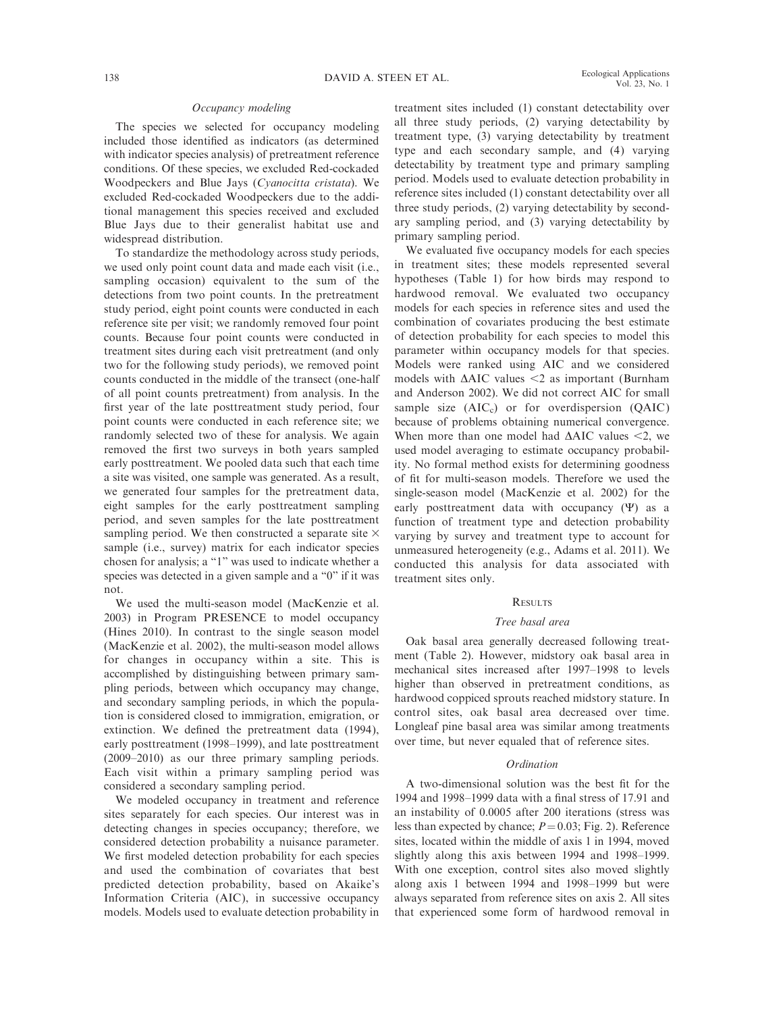# Occupancy modeling

The species we selected for occupancy modeling included those identified as indicators (as determined with indicator species analysis) of pretreatment reference conditions. Of these species, we excluded Red-cockaded Woodpeckers and Blue Jays (Cyanocitta cristata). We excluded Red-cockaded Woodpeckers due to the additional management this species received and excluded Blue Jays due to their generalist habitat use and widespread distribution.

To standardize the methodology across study periods, we used only point count data and made each visit (i.e., sampling occasion) equivalent to the sum of the detections from two point counts. In the pretreatment study period, eight point counts were conducted in each reference site per visit; we randomly removed four point counts. Because four point counts were conducted in treatment sites during each visit pretreatment (and only two for the following study periods), we removed point counts conducted in the middle of the transect (one-half of all point counts pretreatment) from analysis. In the first year of the late posttreatment study period, four point counts were conducted in each reference site; we randomly selected two of these for analysis. We again removed the first two surveys in both years sampled early posttreatment. We pooled data such that each time a site was visited, one sample was generated. As a result, we generated four samples for the pretreatment data, eight samples for the early posttreatment sampling period, and seven samples for the late posttreatment sampling period. We then constructed a separate site  $\times$ sample (i.e., survey) matrix for each indicator species chosen for analysis; a ''1'' was used to indicate whether a species was detected in a given sample and a ''0'' if it was not.

We used the multi-season model (MacKenzie et al. 2003) in Program PRESENCE to model occupancy (Hines 2010). In contrast to the single season model (MacKenzie et al. 2002), the multi-season model allows for changes in occupancy within a site. This is accomplished by distinguishing between primary sampling periods, between which occupancy may change, and secondary sampling periods, in which the population is considered closed to immigration, emigration, or extinction. We defined the pretreatment data (1994), early posttreatment (1998–1999), and late posttreatment (2009–2010) as our three primary sampling periods. Each visit within a primary sampling period was considered a secondary sampling period.

We modeled occupancy in treatment and reference sites separately for each species. Our interest was in detecting changes in species occupancy; therefore, we considered detection probability a nuisance parameter. We first modeled detection probability for each species and used the combination of covariates that best predicted detection probability, based on Akaike's Information Criteria (AIC), in successive occupancy models. Models used to evaluate detection probability in treatment sites included (1) constant detectability over all three study periods, (2) varying detectability by treatment type, (3) varying detectability by treatment type and each secondary sample, and (4) varying detectability by treatment type and primary sampling period. Models used to evaluate detection probability in reference sites included (1) constant detectability over all three study periods, (2) varying detectability by secondary sampling period, and (3) varying detectability by primary sampling period.

We evaluated five occupancy models for each species in treatment sites; these models represented several hypotheses (Table 1) for how birds may respond to hardwood removal. We evaluated two occupancy models for each species in reference sites and used the combination of covariates producing the best estimate of detection probability for each species to model this parameter within occupancy models for that species. Models were ranked using AIC and we considered models with  $\triangle AIC$  values  $\leq 2$  as important (Burnham and Anderson 2002). We did not correct AIC for small sample size  $(AIC<sub>c</sub>)$  or for overdispersion  $(QAIC)$ because of problems obtaining numerical convergence. When more than one model had  $\triangle AIC$  values <2, we used model averaging to estimate occupancy probability. No formal method exists for determining goodness of fit for multi-season models. Therefore we used the single-season model (MacKenzie et al. 2002) for the early posttreatment data with occupancy (W) as a function of treatment type and detection probability varying by survey and treatment type to account for unmeasured heterogeneity (e.g., Adams et al. 2011). We conducted this analysis for data associated with treatment sites only.

# RESULTS

# Tree basal area

Oak basal area generally decreased following treatment (Table 2). However, midstory oak basal area in mechanical sites increased after 1997–1998 to levels higher than observed in pretreatment conditions, as hardwood coppiced sprouts reached midstory stature. In control sites, oak basal area decreased over time. Longleaf pine basal area was similar among treatments over time, but never equaled that of reference sites.

# Ordination

A two-dimensional solution was the best fit for the 1994 and 1998–1999 data with a final stress of 17.91 and an instability of 0.0005 after 200 iterations (stress was less than expected by chance;  $P = 0.03$ ; Fig. 2). Reference sites, located within the middle of axis 1 in 1994, moved slightly along this axis between 1994 and 1998–1999. With one exception, control sites also moved slightly along axis 1 between 1994 and 1998–1999 but were always separated from reference sites on axis 2. All sites that experienced some form of hardwood removal in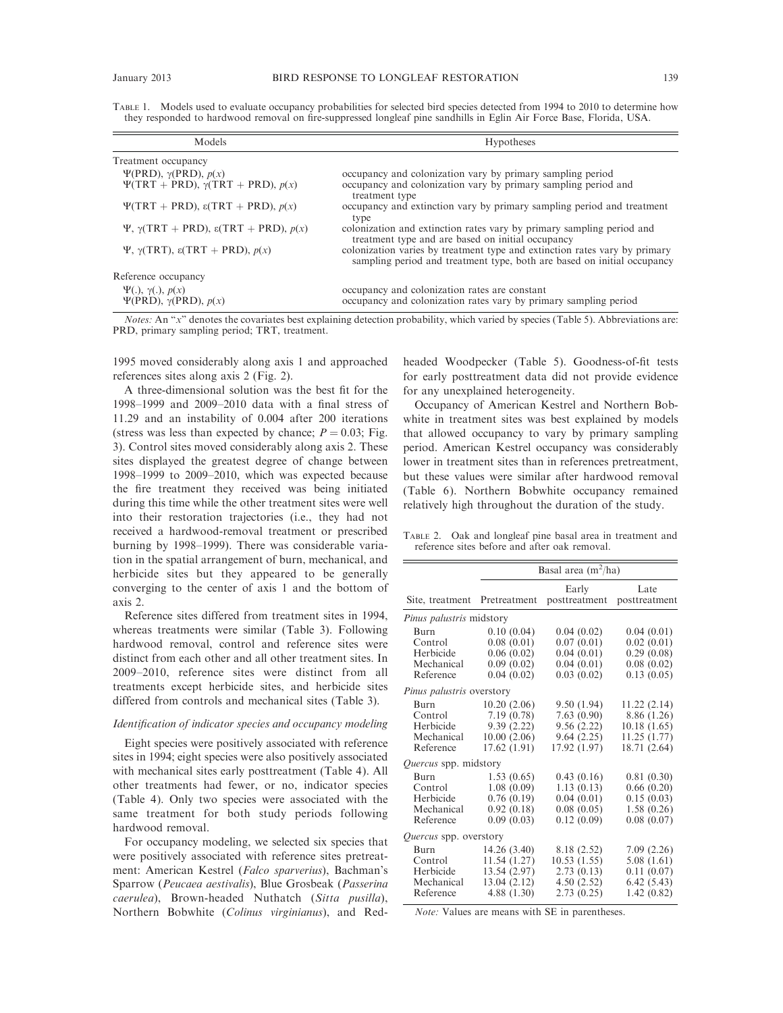TABLE 1. Models used to evaluate occupancy probabilities for selected bird species detected from 1994 to 2010 to determine how they responded to hardwood removal on fire-suppressed longleaf pine sandhills in Eglin Air Force Base, Florida, USA.

| Models                                                                                     | <b>Hypotheses</b>                                                                                                                                     |
|--------------------------------------------------------------------------------------------|-------------------------------------------------------------------------------------------------------------------------------------------------------|
| Treatment occupancy                                                                        |                                                                                                                                                       |
| $\Psi(\text{PRD}), \gamma(\text{PRD}), p(x)$<br>$\Psi(TRT + PRD), \gamma(TRT + PRD), p(x)$ | occupancy and colonization vary by primary sampling period<br>occupancy and colonization vary by primary sampling period and<br>treatment type        |
| $\Psi(TRT + PRD)$ , $\varepsilon(TRT + PRD)$ , $p(x)$                                      | occupancy and extinction vary by primary sampling period and treatment<br>type                                                                        |
| $\Psi$ , γ(TRT + PRD), ε(TRT + PRD), $p(x)$                                                | colonization and extinction rates vary by primary sampling period and<br>treatment type and are based on initial occupancy                            |
| $\Psi$ , γ(TRT), ε(TRT + PRD), $p(x)$                                                      | colonization varies by treatment type and extinction rates vary by primary<br>sampling period and treatment type, both are based on initial occupancy |
| Reference occupancy                                                                        |                                                                                                                                                       |
| $\Psi(.)$ , $\gamma(.)$ , $p(x)$<br>$\Psi$ (PRD), $\gamma$ (PRD), $p(x)$                   | occupancy and colonization rates are constant<br>occupancy and colonization rates vary by primary sampling period                                     |

Notes: An "x" denotes the covariates best explaining detection probability, which varied by species (Table 5). Abbreviations are: PRD, primary sampling period; TRT, treatment.

1995 moved considerably along axis 1 and approached references sites along axis 2 (Fig. 2).

A three-dimensional solution was the best fit for the 1998–1999 and 2009–2010 data with a final stress of 11.29 and an instability of 0.004 after 200 iterations (stress was less than expected by chance;  $P = 0.03$ ; Fig. 3). Control sites moved considerably along axis 2. These sites displayed the greatest degree of change between 1998–1999 to 2009–2010, which was expected because the fire treatment they received was being initiated during this time while the other treatment sites were well into their restoration trajectories (i.e., they had not received a hardwood-removal treatment or prescribed burning by 1998–1999). There was considerable variation in the spatial arrangement of burn, mechanical, and herbicide sites but they appeared to be generally converging to the center of axis 1 and the bottom of axis 2.

Reference sites differed from treatment sites in 1994, whereas treatments were similar (Table 3). Following hardwood removal, control and reference sites were distinct from each other and all other treatment sites. In 2009–2010, reference sites were distinct from all treatments except herbicide sites, and herbicide sites differed from controls and mechanical sites (Table 3).

# Identification of indicator species and occupancy modeling

Eight species were positively associated with reference sites in 1994; eight species were also positively associated with mechanical sites early posttreatment (Table 4). All other treatments had fewer, or no, indicator species (Table 4). Only two species were associated with the same treatment for both study periods following hardwood removal.

For occupancy modeling, we selected six species that were positively associated with reference sites pretreatment: American Kestrel (Falco sparverius), Bachman's Sparrow (Peucaea aestivalis), Blue Grosbeak (Passerina caerulea), Brown-headed Nuthatch (Sitta pusilla), Northern Bobwhite (Colinus virginianus), and Red-

headed Woodpecker (Table 5). Goodness-of-fit tests for early posttreatment data did not provide evidence for any unexplained heterogeneity.

Occupancy of American Kestrel and Northern Bobwhite in treatment sites was best explained by models that allowed occupancy to vary by primary sampling period. American Kestrel occupancy was considerably lower in treatment sites than in references pretreatment, but these values were similar after hardwood removal (Table 6). Northern Bobwhite occupancy remained relatively high throughout the duration of the study.

TABLE 2. Oak and longleaf pine basal area in treatment and reference sites before and after oak removal.

|                                  | Basal area $(m^2/ha)$ |               |               |  |  |  |
|----------------------------------|-----------------------|---------------|---------------|--|--|--|
|                                  |                       | Early         | Late          |  |  |  |
| Site, treatment                  | Pretreatment          | posttreatment | posttreatment |  |  |  |
| <i>Pinus palustris</i> midstory  |                       |               |               |  |  |  |
| <b>Burn</b>                      | 0.10(0.04)            | 0.04(0.02)    | 0.04(0.01)    |  |  |  |
| Control                          | 0.08(0.01)            | 0.07(0.01)    | 0.02(0.01)    |  |  |  |
| Herbicide                        | 0.06(0.02)            | 0.04(0.01)    | 0.29(0.08)    |  |  |  |
| Mechanical                       | 0.09(0.02)            | 0.04(0.01)    | 0.08(0.02)    |  |  |  |
| Reference                        | 0.04(0.02)            | 0.03(0.02)    | 0.13(0.05)    |  |  |  |
| <i>Pinus palustris</i> overstory |                       |               |               |  |  |  |
| <b>Burn</b>                      | 10.20(2.06)           | 9.50 (1.94)   | 11.22(2.14)   |  |  |  |
| Control                          | 7.19(0.78)            | 7.63(0.90)    | 8.86 (1.26)   |  |  |  |
| Herbicide                        | 9.39(2.22)            | 9.56(2.22)    | 10.18(1.65)   |  |  |  |
| Mechanical                       | 10.00(2.06)           | 9.64(2.25)    | 11.25 (1.77)  |  |  |  |
| Reference                        | 17.62 (1.91)          | 17.92 (1.97)  | 18.71 (2.64)  |  |  |  |
| <i>Quercus</i> spp. midstory     |                       |               |               |  |  |  |
| <b>Burn</b>                      | 1.53(0.65)            | 0.43(0.16)    | 0.81(0.30)    |  |  |  |
| Control                          | 1.08(0.09)            | 1.13(0.13)    | 0.66(0.20)    |  |  |  |
| Herbicide                        | 0.76(0.19)            | 0.04(0.01)    | 0.15(0.03)    |  |  |  |
| Mechanical                       | 0.92(0.18)            | 0.08(0.05)    | 1.58(0.26)    |  |  |  |
| Reference                        | 0.09(0.03)            | 0.12(0.09)    | 0.08(0.07)    |  |  |  |
| Quercus spp. overstory           |                       |               |               |  |  |  |
| Burn                             | 14.26 (3.40)          | 8.18 (2.52)   | 7.09(2.26)    |  |  |  |
| Control                          | 11.54(1.27)           | 10.53(1.55)   | 5.08(1.61)    |  |  |  |
| Herbicide                        | 13.54 (2.97)          | 2.73(0.13)    | 0.11(0.07)    |  |  |  |
| Mechanical                       | 13.04 (2.12)          | 4.50(2.52)    | 6.42(5.43)    |  |  |  |
| Reference                        | 4.88(1.30)            | 2.73(0.25)    | 1.42(0.82)    |  |  |  |
|                                  |                       |               |               |  |  |  |

Note: Values are means with SE in parentheses.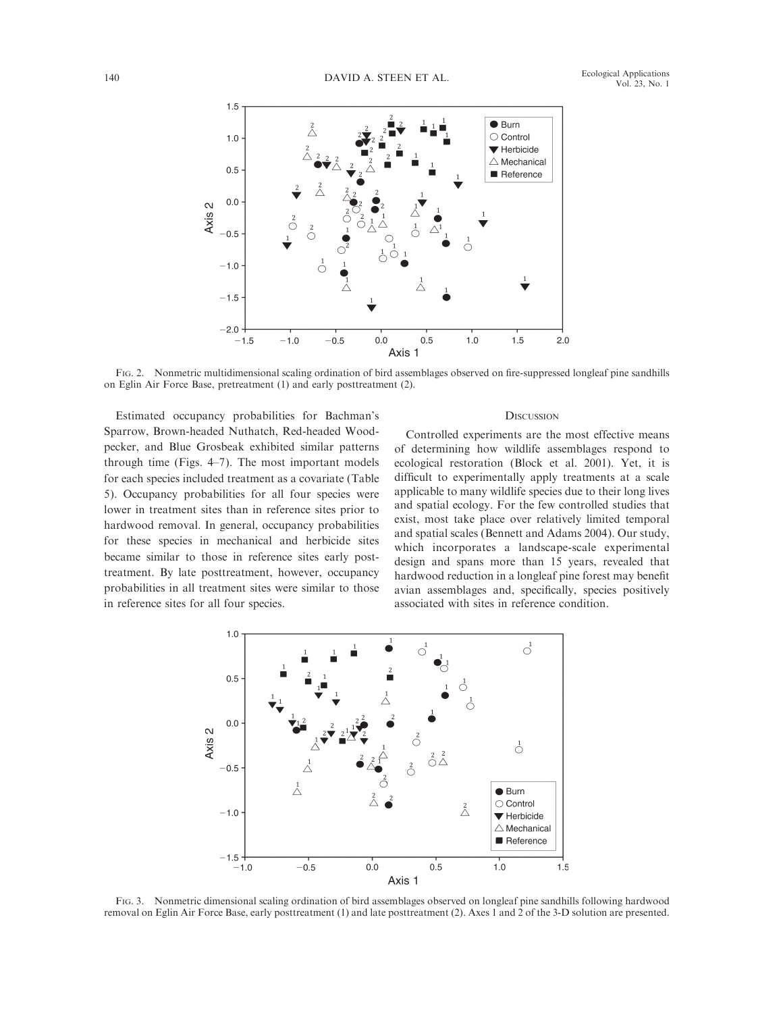

FIG. 2. Nonmetric multidimensional scaling ordination of bird assemblages observed on fire-suppressed longleaf pine sandhills on Eglin Air Force Base, pretreatment (1) and early posttreatment (2).

Estimated occupancy probabilities for Bachman's Sparrow, Brown-headed Nuthatch, Red-headed Woodpecker, and Blue Grosbeak exhibited similar patterns through time (Figs. 4–7). The most important models for each species included treatment as a covariate (Table 5). Occupancy probabilities for all four species were lower in treatment sites than in reference sites prior to hardwood removal. In general, occupancy probabilities for these species in mechanical and herbicide sites became similar to those in reference sites early posttreatment. By late posttreatment, however, occupancy probabilities in all treatment sites were similar to those in reference sites for all four species.

#### **DISCUSSION**

Controlled experiments are the most effective means of determining how wildlife assemblages respond to ecological restoration (Block et al. 2001). Yet, it is difficult to experimentally apply treatments at a scale applicable to many wildlife species due to their long lives and spatial ecology. For the few controlled studies that exist, most take place over relatively limited temporal and spatial scales (Bennett and Adams 2004). Our study, which incorporates a landscape-scale experimental design and spans more than 15 years, revealed that hardwood reduction in a longleaf pine forest may benefit avian assemblages and, specifically, species positively associated with sites in reference condition.



FIG. 3. Nonmetric dimensional scaling ordination of bird assemblages observed on longleaf pine sandhills following hardwood removal on Eglin Air Force Base, early posttreatment (1) and late posttreatment (2). Axes 1 and 2 of the 3-D solution are presented.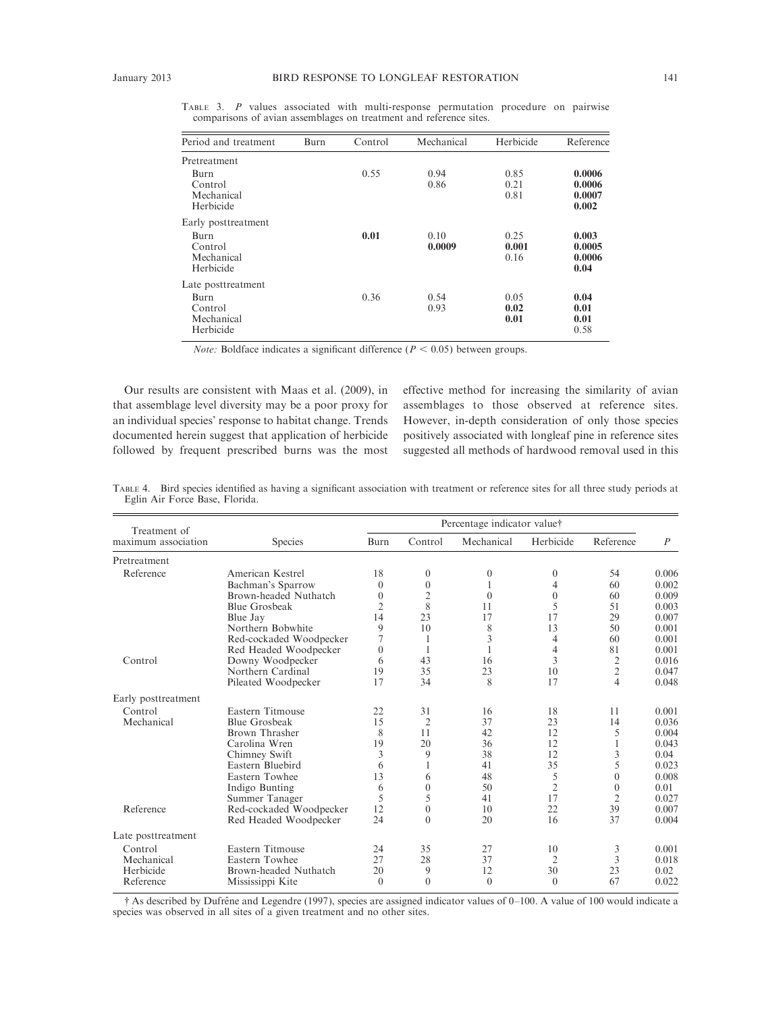| Period and treatment                       | Burn | Control | Mechanical     | Herbicide             | Reference                           |
|--------------------------------------------|------|---------|----------------|-----------------------|-------------------------------------|
| Pretreatment                               |      |         |                |                       |                                     |
| Burn<br>Control<br>Mechanical<br>Herbicide |      | 0.55    | 0.94<br>0.86   | 0.85<br>0.21<br>0.81  | 0.0006<br>0.0006<br>0.0007<br>0.002 |
| Early posttreatment                        |      |         |                |                       |                                     |
| Burn<br>Control<br>Mechanical<br>Herbicide |      | 0.01    | 0.10<br>0.0009 | 0.25<br>0.001<br>0.16 | 0.003<br>0.0005<br>0.0006<br>0.04   |
| Late posttreatment                         |      |         |                |                       |                                     |
| Burn<br>Control<br>Mechanical<br>Herbicide |      | 0.36    | 0.54<br>0.93   | 0.05<br>0.02<br>0.01  | 0.04<br>0.01<br>0.01<br>0.58        |

TABLE 3. P values associated with multi-response permutation procedure on pairwise comparisons of avian assemblages on treatment and reference sites.

*Note:* Boldface indicates a significant difference ( $P < 0.05$ ) between groups.

Our results are consistent with Maas et al. (2009), in that assemblage level diversity may be a poor proxy for an individual species' response to habitat change. Trends documented herein suggest that application of herbicide followed by frequent prescribed burns was the most effective method for increasing the similarity of avian assemblages to those observed at reference sites. However, in-depth consideration of only those species positively associated with longleaf pine in reference sites suggested all methods of hardwood removal used in this

| Treatment of        | Percentage indicator value† |                |                |            |                  |                |                  |
|---------------------|-----------------------------|----------------|----------------|------------|------------------|----------------|------------------|
| maximum association | <b>Species</b>              | Burn           | Control        | Mechanical | Herbicide        | Reference      | $\boldsymbol{P}$ |
| Pretreatment        |                             |                |                |            |                  |                |                  |
| Reference           | American Kestrel            | 18             | $\mathbf{0}$   | $\theta$   | $\boldsymbol{0}$ | 54             | 0.006            |
|                     | Bachman's Sparrow           | $\theta$       | $\mathbf{0}$   | 1          | 4                | 60             | 0.002            |
|                     | Brown-headed Nuthatch       | $\theta$       | $\mathfrak{2}$ | $\theta$   | $\overline{0}$   | 60             | 0.009            |
|                     | <b>Blue Grosbeak</b>        | $\overline{2}$ | 8              | 11         | 5                | 51             | 0.003            |
|                     | Blue Jay                    | 14             | 23             | 17         | 17               | 29             | 0.007            |
|                     | Northern Bobwhite           | 9              | 10             | 8          | 13               | 50             | 0.001            |
|                     | Red-cockaded Woodpecker     | 7              | 1              | 3          | 4                | 60             | 0.001            |
|                     | Red Headed Woodpecker       | $\theta$       | 1              |            | 4                | 81             | 0.001            |
| Control             | Downy Woodpecker            | 6              | 43             | 16         | 3                | $\overline{2}$ | 0.016            |
|                     | Northern Cardinal           | 19             | 35             | 23         | 10               | $\overline{2}$ | 0.047            |
|                     | Pileated Woodpecker         | 17             | 34             | 8          | 17               | $\overline{4}$ | 0.048            |
| Early posttreatment |                             |                |                |            |                  |                |                  |
| Control             | Eastern Titmouse            | 22             | 31             | 16         | 18               | 11             | 0.001            |
| Mechanical          | <b>Blue Grosbeak</b>        | 15             | $\overline{2}$ | 37         | 23               | 14             | 0.036            |
|                     | Brown Thrasher              | 8              | 11             | 42         | 12               | 5              | 0.004            |
|                     | Carolina Wren               | 19             | 20             | 36         | 12               | 1              | 0.043            |
|                     | Chimney Swift               | 3              | 9              | 38         | 12               | 3              | 0.04             |
|                     | Eastern Bluebird            | 6              |                | 41         | 35               | 5              | 0.023            |
|                     | Eastern Towhee              | 13             | 6              | 48         | 5                | $\mathbf{0}$   | 0.008            |
|                     | Indigo Bunting              | 6              | $\mathbf{0}$   | 50         | $\overline{2}$   | $\theta$       | 0.01             |
|                     | Summer Tanager              | 5              | 5              | 41         | 17               | $\overline{2}$ | 0.027            |
| Reference           | Red-cockaded Woodpecker     | 12             | $\mathbf{0}$   | 10         | 22               | 39             | 0.007            |
|                     | Red Headed Woodpecker       | 24             | $\theta$       | 20         | 16               | 37             | 0.004            |
| Late posttreatment  |                             |                |                |            |                  |                |                  |
| Control             | Eastern Titmouse            | 24             | 35             | 27         | 10               | 3              | 0.001            |
| Mechanical          | Eastern Towhee              | 27             | 28             | 37         | $\overline{c}$   | 3              | 0.018            |
| Herbicide           | Brown-headed Nuthatch       | 20             | 9              | 12         | 30               | 23             | 0.02             |
| Reference           | Mississippi Kite            | $\theta$       | $\theta$       | $\theta$   | $\theta$         | 67             | 0.022            |

TABLE 4. Bird species identified as having a significant association with treatment or reference sites for all three study periods at Eglin Air Force Base, Florida.

<sup>†</sup> As described by Dufrêne and Legendre (1997), species are assigned indicator values of 0–100. A value of 100 would indicate a species was observed in all sites of a given treatment and no other sites.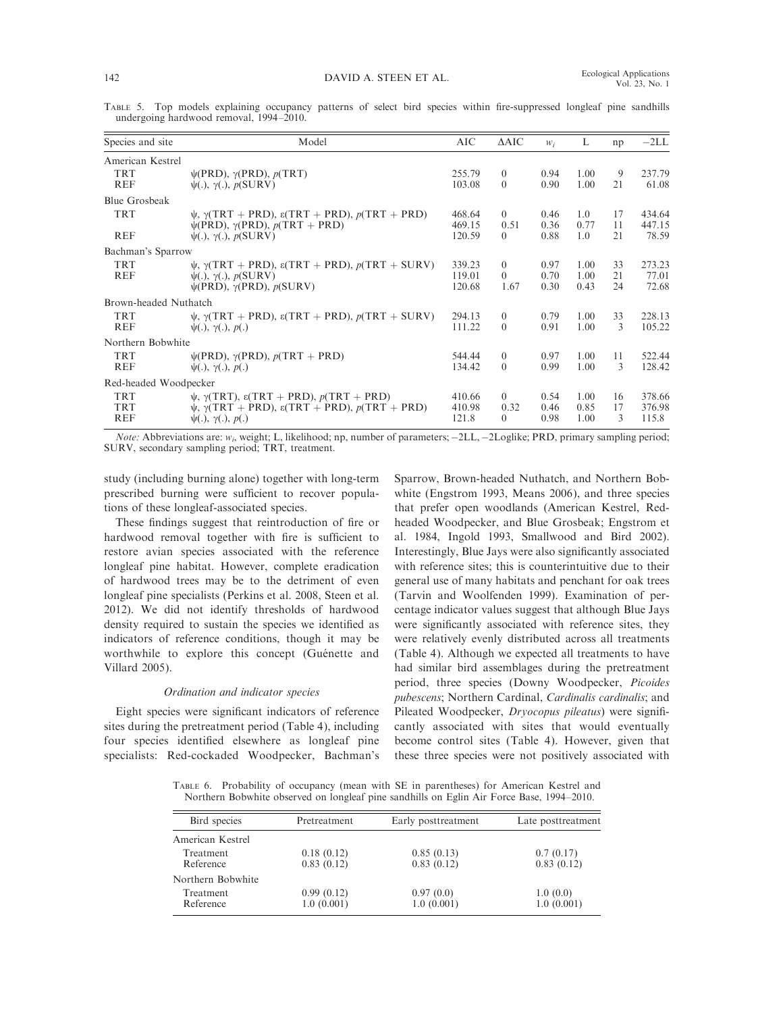TABLE 5. Top models explaining occupancy patterns of select bird species within fire-suppressed longleaf pine sandhills undergoing hardwood removal, 1994–2010.

| Species and site      | Model                                                                                                                                          | AIC    | $\triangle AIC$ | $W_i$ | L             | np | $-2LL$ |
|-----------------------|------------------------------------------------------------------------------------------------------------------------------------------------|--------|-----------------|-------|---------------|----|--------|
| American Kestrel      |                                                                                                                                                |        |                 |       |               |    |        |
| <b>TRT</b>            | $\psi(\text{PRD}), \gamma(\text{PRD}), p(\text{TRT})$                                                                                          | 255.79 | $\theta$        | 0.94  | 1.00          | 9  | 237.79 |
| <b>REF</b>            | $\psi(.)$ , $\gamma(.)$ , $p(SURV)$                                                                                                            | 103.08 | $\theta$        | 0.90  | 1.00          | 21 | 61.08  |
| <b>Blue Grosbeak</b>  |                                                                                                                                                |        |                 |       |               |    |        |
| <b>TRT</b>            | $\psi$ , $\gamma(TRT + PRD)$ , $\varepsilon(TRT + PRD)$ , $p(TRT + PRD)$                                                                       | 468.64 | $\Omega$        | 0.46  | $1.0^{\circ}$ | 17 | 434.64 |
|                       | $\psi(\text{PRD}), \gamma(\text{PRD}), p(\text{TRT} + \text{PRD})$                                                                             | 469.15 | 0.51            | 0.36  | 0.77          | 11 | 447.15 |
| <b>REF</b>            | $\psi(.)$ , $\gamma(.)$ , $p(SURV)$                                                                                                            | 120.59 | $\Omega$        | 0.88  | 1.0           | 21 | 78.59  |
| Bachman's Sparrow     |                                                                                                                                                |        |                 |       |               |    |        |
| <b>TRT</b>            | $\psi$ , $\gamma(TRT + PRD)$ , $\varepsilon(TRT + PRD)$ , $p(TRT + SURV)$                                                                      | 339.23 | $\theta$        | 0.97  | 1.00          | 33 | 273.23 |
| <b>REF</b>            | $\psi(.)$ , $\gamma(.)$ , $p(SURV)$                                                                                                            | 119.01 | $\Omega$        | 0.70  | 1.00          | 21 | 77.01  |
|                       | $\psi$ (PRD), $\gamma$ (PRD), $p$ (SURV)                                                                                                       | 120.68 | 1.67            | 0.30  | 0.43          | 24 | 72.68  |
| Brown-headed Nuthatch |                                                                                                                                                |        |                 |       |               |    |        |
| <b>TRT</b>            | $\psi$ , $\gamma(TRT + PRD)$ , $\varepsilon(TRT + PRD)$ , $p(TRT + SURV)$                                                                      | 294.13 | $\theta$        | 0.79  | 1.00          | 33 | 228.13 |
| <b>REF</b>            | $\psi(.)$ , $\gamma(.)$ , $p(.)$                                                                                                               | 111.22 | $\Omega$        | 0.91  | 1.00          | 3  | 105.22 |
| Northern Bobwhite     |                                                                                                                                                |        |                 |       |               |    |        |
| <b>TRT</b>            | $\psi(\text{PRD}), \gamma(\text{PRD}), p(\text{TRT} + \text{PRD})$                                                                             | 544.44 | $\overline{0}$  | 0.97  | 1.00          | 11 | 522.44 |
| <b>REF</b>            | $\psi(.)$ , $\gamma(.)$ , $p(.)$                                                                                                               | 134.42 | $\Omega$        | 0.99  | 1.00          | 3  | 128.42 |
| Red-headed Woodpecker |                                                                                                                                                |        |                 |       |               |    |        |
| <b>TRT</b>            |                                                                                                                                                | 410.66 | $\theta$        | 0.54  | 1.00          | 16 | 378.66 |
| <b>TRT</b>            |                                                                                                                                                | 410.98 | 0.32            | 0.46  | 0.85          | 17 | 376.98 |
| <b>REF</b>            | $\psi(.)$ , $\gamma(.)$ , $p(.)$                                                                                                               | 121.8  | $\Omega$        | 0.98  | 1.00          | 3  | 115.8  |
|                       | $\psi$ , $\gamma(TRT)$ , $\varepsilon(TRT + PRD)$ , $p(TRT + PRD)$<br>$\psi$ , $\gamma(TRT + PRD)$ , $\varepsilon(TRT + PRD)$ , $p(TRT + PRD)$ |        |                 |       |               |    |        |

Note: Abbreviations are:  $w_i$ , weight; L, likelihood; np, number of parameters;  $-2LL$ ,  $-2Loglike$ ; PRD, primary sampling period; SURV, secondary sampling period; TRT, treatment.

study (including burning alone) together with long-term prescribed burning were sufficient to recover populations of these longleaf-associated species.

These findings suggest that reintroduction of fire or hardwood removal together with fire is sufficient to restore avian species associated with the reference longleaf pine habitat. However, complete eradication of hardwood trees may be to the detriment of even longleaf pine specialists (Perkins et al. 2008, Steen et al. 2012). We did not identify thresholds of hardwood density required to sustain the species we identified as indicators of reference conditions, though it may be worthwhile to explore this concept (Guénette and Villard 2005).

#### Ordination and indicator species

Eight species were significant indicators of reference sites during the pretreatment period (Table 4), including four species identified elsewhere as longleaf pine specialists: Red-cockaded Woodpecker, Bachman's Sparrow, Brown-headed Nuthatch, and Northern Bobwhite (Engstrom 1993, Means 2006), and three species that prefer open woodlands (American Kestrel, Redheaded Woodpecker, and Blue Grosbeak; Engstrom et al. 1984, Ingold 1993, Smallwood and Bird 2002). Interestingly, Blue Jays were also significantly associated with reference sites; this is counterintuitive due to their general use of many habitats and penchant for oak trees (Tarvin and Woolfenden 1999). Examination of percentage indicator values suggest that although Blue Jays were significantly associated with reference sites, they were relatively evenly distributed across all treatments (Table 4). Although we expected all treatments to have had similar bird assemblages during the pretreatment period, three species (Downy Woodpecker, Picoides pubescens; Northern Cardinal, Cardinalis cardinalis; and Pileated Woodpecker, Dryocopus pileatus) were significantly associated with sites that would eventually become control sites (Table 4). However, given that these three species were not positively associated with

TABLE 6. Probability of occupancy (mean with SE in parentheses) for American Kestrel and Northern Bobwhite observed on longleaf pine sandhills on Eglin Air Force Base, 1994–2010.

| Bird species                  | Pretreatment             | Early posttreatment      | Late posttreatment      |  |  |
|-------------------------------|--------------------------|--------------------------|-------------------------|--|--|
| American Kestrel              |                          |                          |                         |  |  |
| Treatment<br>Reference        | 0.18(0.12)<br>0.83(0.12) | 0.85(0.13)<br>0.83(0.12) | 0.7(0.17)<br>0.83(0.12) |  |  |
| Northern Bobwhite             |                          |                          |                         |  |  |
| <b>Treatment</b><br>Reference | 0.99(0.12)<br>1.0(0.001) | 0.97(0.0)<br>1.0(0.001)  | 1.0(0.0)<br>1.0(0.001)  |  |  |
|                               |                          |                          |                         |  |  |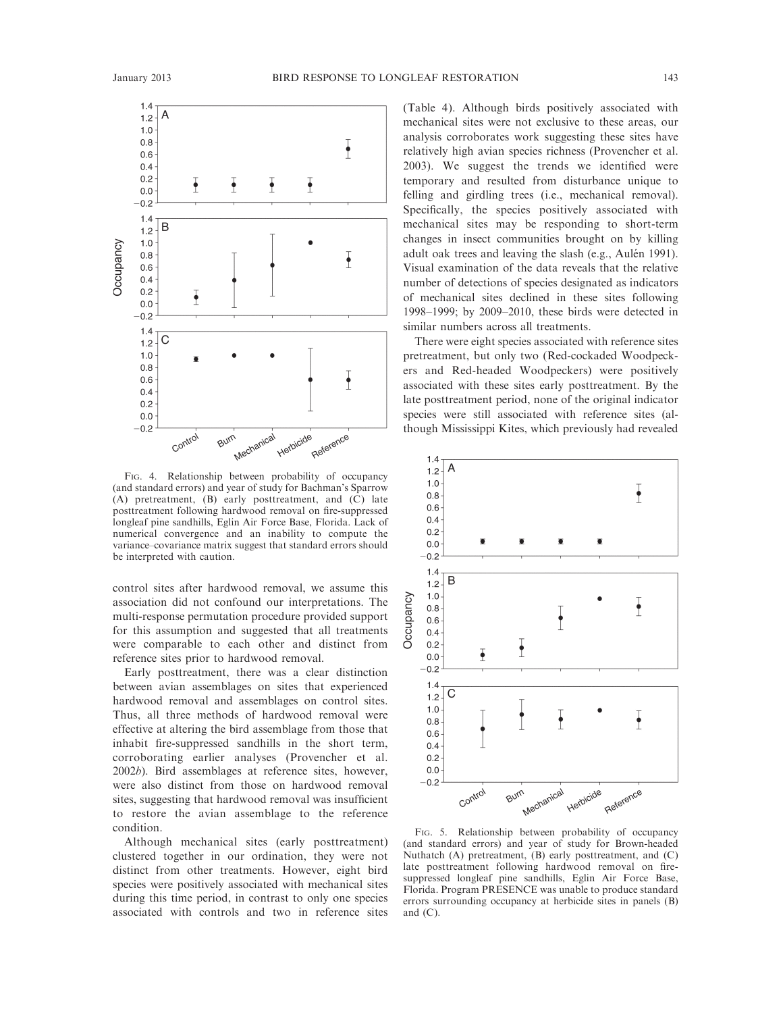

FIG. 4. Relationship between probability of occupancy (and standard errors) and year of study for Bachman's Sparrow  $(A)$  pretreatment,  $(B)$  early posttreatment, and  $(C)$  late posttreatment following hardwood removal on fire-suppressed longleaf pine sandhills, Eglin Air Force Base, Florida. Lack of numerical convergence and an inability to compute the variance–covariance matrix suggest that standard errors should be interpreted with caution.

control sites after hardwood removal, we assume this association did not confound our interpretations. The multi-response permutation procedure provided support for this assumption and suggested that all treatments were comparable to each other and distinct from reference sites prior to hardwood removal.

Early posttreatment, there was a clear distinction between avian assemblages on sites that experienced hardwood removal and assemblages on control sites. Thus, all three methods of hardwood removal were effective at altering the bird assemblage from those that inhabit fire-suppressed sandhills in the short term, corroborating earlier analyses (Provencher et al. 2002b). Bird assemblages at reference sites, however, were also distinct from those on hardwood removal sites, suggesting that hardwood removal was insufficient to restore the avian assemblage to the reference condition.

Although mechanical sites (early posttreatment) clustered together in our ordination, they were not distinct from other treatments. However, eight bird species were positively associated with mechanical sites during this time period, in contrast to only one species associated with controls and two in reference sites (Table 4). Although birds positively associated with mechanical sites were not exclusive to these areas, our analysis corroborates work suggesting these sites have relatively high avian species richness (Provencher et al. 2003). We suggest the trends we identified were temporary and resulted from disturbance unique to felling and girdling trees (i.e., mechanical removal). Specifically, the species positively associated with mechanical sites may be responding to short-term changes in insect communities brought on by killing adult oak trees and leaving the slash (e.g., Aulén 1991). Visual examination of the data reveals that the relative number of detections of species designated as indicators of mechanical sites declined in these sites following 1998–1999; by 2009–2010, these birds were detected in similar numbers across all treatments.

There were eight species associated with reference sites pretreatment, but only two (Red-cockaded Woodpeckers and Red-headed Woodpeckers) were positively associated with these sites early posttreatment. By the late posttreatment period, none of the original indicator species were still associated with reference sites (although Mississippi Kites, which previously had revealed



FIG. 5. Relationship between probability of occupancy (and standard errors) and year of study for Brown-headed Nuthatch (A) pretreatment, (B) early posttreatment, and (C) late posttreatment following hardwood removal on firesuppressed longleaf pine sandhills, Eglin Air Force Base, Florida. Program PRESENCE was unable to produce standard errors surrounding occupancy at herbicide sites in panels (B) and  $(C)$ .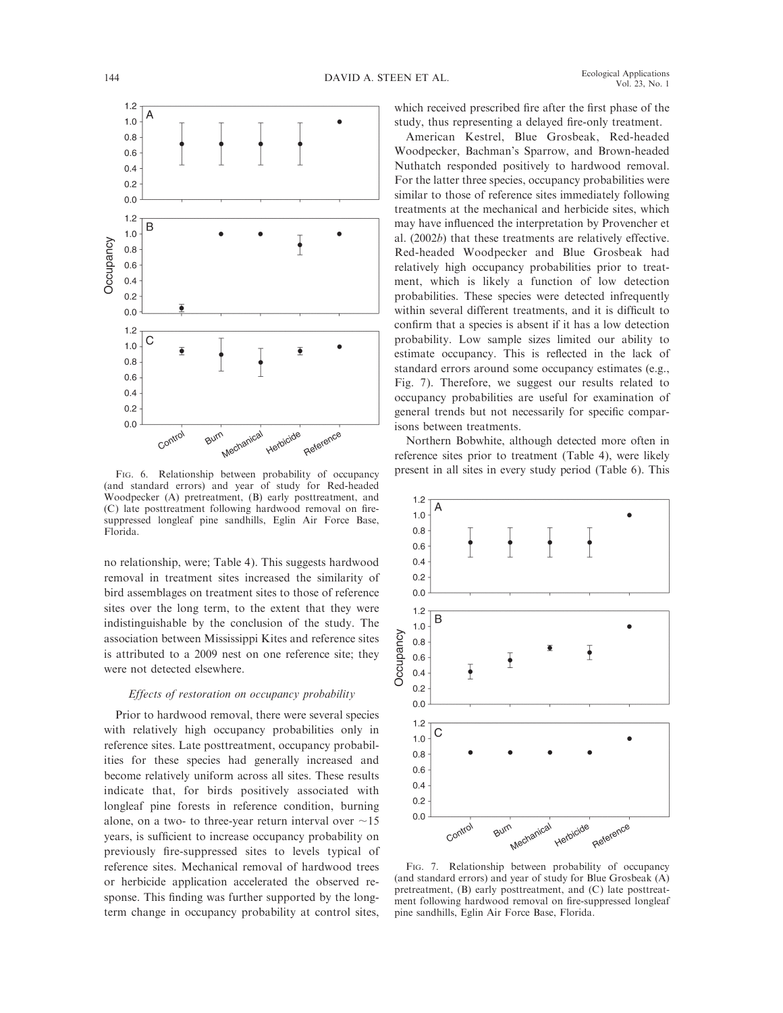

(and standard errors) and year of study for Red-headed Woodpecker (A) pretreatment, (B) early posttreatment, and (C) late posttreatment following hardwood removal on firesuppressed longleaf pine sandhills, Eglin Air Force Base, Florida.

no relationship, were; Table 4). This suggests hardwood removal in treatment sites increased the similarity of bird assemblages on treatment sites to those of reference sites over the long term, to the extent that they were indistinguishable by the conclusion of the study. The association between Mississippi Kites and reference sites is attributed to a 2009 nest on one reference site; they were not detected elsewhere.

#### Effects of restoration on occupancy probability

Prior to hardwood removal, there were several species with relatively high occupancy probabilities only in reference sites. Late posttreatment, occupancy probabilities for these species had generally increased and become relatively uniform across all sites. These results indicate that, for birds positively associated with longleaf pine forests in reference condition, burning alone, on a two- to three-year return interval over  $\sim$ 15 years, is sufficient to increase occupancy probability on previously fire-suppressed sites to levels typical of reference sites. Mechanical removal of hardwood trees or herbicide application accelerated the observed response. This finding was further supported by the longterm change in occupancy probability at control sites, which received prescribed fire after the first phase of the study, thus representing a delayed fire-only treatment.

American Kestrel, Blue Grosbeak, Red-headed Woodpecker, Bachman's Sparrow, and Brown-headed Nuthatch responded positively to hardwood removal. For the latter three species, occupancy probabilities were similar to those of reference sites immediately following treatments at the mechanical and herbicide sites, which may have influenced the interpretation by Provencher et al. (2002b) that these treatments are relatively effective. Red-headed Woodpecker and Blue Grosbeak had relatively high occupancy probabilities prior to treatment, which is likely a function of low detection probabilities. These species were detected infrequently within several different treatments, and it is difficult to confirm that a species is absent if it has a low detection probability. Low sample sizes limited our ability to estimate occupancy. This is reflected in the lack of standard errors around some occupancy estimates (e.g., Fig. 7). Therefore, we suggest our results related to occupancy probabilities are useful for examination of general trends but not necessarily for specific comparisons between treatments.

Northern Bobwhite, although detected more often in reference sites prior to treatment (Table 4), were likely FIG. 6. Relationship between probability of occupancy present in all sites in every study period (Table 6). This



FIG. 7. Relationship between probability of occupancy (and standard errors) and year of study for Blue Grosbeak (A) pretreatment, (B) early posttreatment, and (C) late posttreatment following hardwood removal on fire-suppressed longleaf pine sandhills, Eglin Air Force Base, Florida.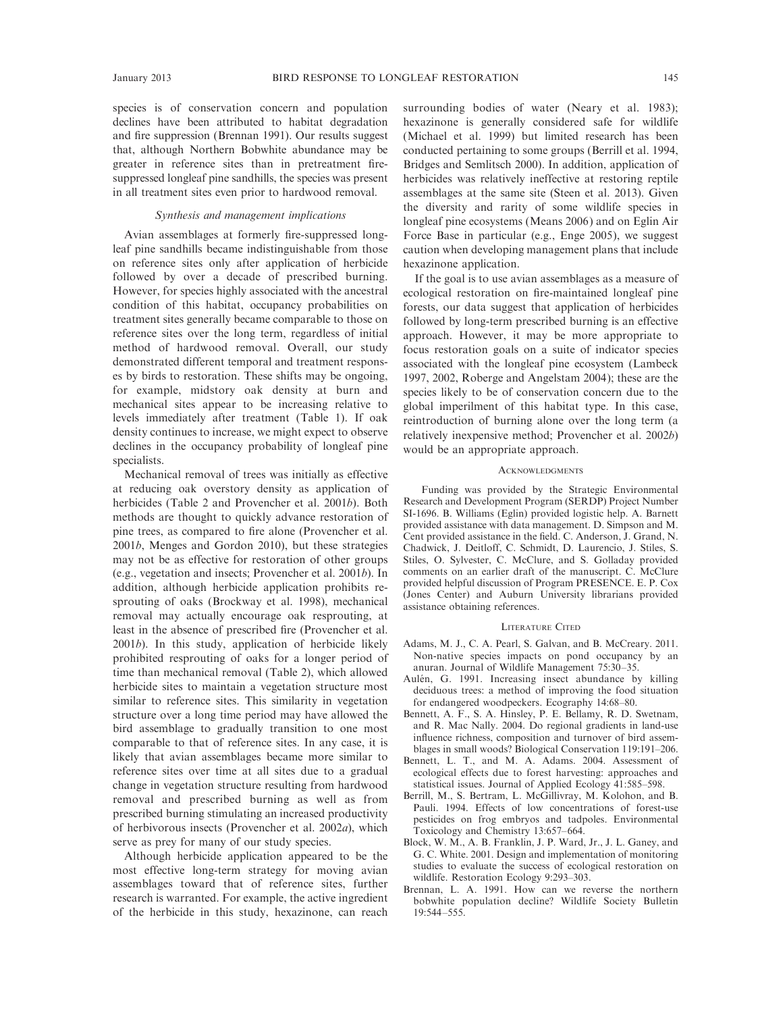species is of conservation concern and population declines have been attributed to habitat degradation and fire suppression (Brennan 1991). Our results suggest that, although Northern Bobwhite abundance may be greater in reference sites than in pretreatment firesuppressed longleaf pine sandhills, the species was present in all treatment sites even prior to hardwood removal.

## Synthesis and management implications

Avian assemblages at formerly fire-suppressed longleaf pine sandhills became indistinguishable from those on reference sites only after application of herbicide followed by over a decade of prescribed burning. However, for species highly associated with the ancestral condition of this habitat, occupancy probabilities on treatment sites generally became comparable to those on reference sites over the long term, regardless of initial method of hardwood removal. Overall, our study demonstrated different temporal and treatment responses by birds to restoration. These shifts may be ongoing, for example, midstory oak density at burn and mechanical sites appear to be increasing relative to levels immediately after treatment (Table 1). If oak density continues to increase, we might expect to observe declines in the occupancy probability of longleaf pine specialists.

Mechanical removal of trees was initially as effective at reducing oak overstory density as application of herbicides (Table 2 and Provencher et al. 2001b). Both methods are thought to quickly advance restoration of pine trees, as compared to fire alone (Provencher et al. 2001b, Menges and Gordon 2010), but these strategies may not be as effective for restoration of other groups (e.g., vegetation and insects; Provencher et al. 2001b). In addition, although herbicide application prohibits resprouting of oaks (Brockway et al. 1998), mechanical removal may actually encourage oak resprouting, at least in the absence of prescribed fire (Provencher et al. 2001b). In this study, application of herbicide likely prohibited resprouting of oaks for a longer period of time than mechanical removal (Table 2), which allowed herbicide sites to maintain a vegetation structure most similar to reference sites. This similarity in vegetation structure over a long time period may have allowed the bird assemblage to gradually transition to one most comparable to that of reference sites. In any case, it is likely that avian assemblages became more similar to reference sites over time at all sites due to a gradual change in vegetation structure resulting from hardwood removal and prescribed burning as well as from prescribed burning stimulating an increased productivity of herbivorous insects (Provencher et al. 2002a), which serve as prey for many of our study species.

Although herbicide application appeared to be the most effective long-term strategy for moving avian assemblages toward that of reference sites, further research is warranted. For example, the active ingredient of the herbicide in this study, hexazinone, can reach surrounding bodies of water (Neary et al. 1983); hexazinone is generally considered safe for wildlife (Michael et al. 1999) but limited research has been conducted pertaining to some groups (Berrill et al. 1994, Bridges and Semlitsch 2000). In addition, application of herbicides was relatively ineffective at restoring reptile assemblages at the same site (Steen et al. 2013). Given the diversity and rarity of some wildlife species in longleaf pine ecosystems (Means 2006) and on Eglin Air Force Base in particular (e.g., Enge 2005), we suggest caution when developing management plans that include hexazinone application.

If the goal is to use avian assemblages as a measure of ecological restoration on fire-maintained longleaf pine forests, our data suggest that application of herbicides followed by long-term prescribed burning is an effective approach. However, it may be more appropriate to focus restoration goals on a suite of indicator species associated with the longleaf pine ecosystem (Lambeck 1997, 2002, Roberge and Angelstam 2004); these are the species likely to be of conservation concern due to the global imperilment of this habitat type. In this case, reintroduction of burning alone over the long term (a relatively inexpensive method; Provencher et al. 2002b) would be an appropriate approach.

#### ACKNOWLEDGMENTS

Funding was provided by the Strategic Environmental Research and Development Program (SERDP) Project Number SI-1696. B. Williams (Eglin) provided logistic help. A. Barnett provided assistance with data management. D. Simpson and M. Cent provided assistance in the field. C. Anderson, J. Grand, N. Chadwick, J. Deitloff, C. Schmidt, D. Laurencio, J. Stiles, S. Stiles, O. Sylvester, C. McClure, and S. Golladay provided comments on an earlier draft of the manuscript. C. McClure provided helpful discussion of Program PRESENCE. E. P. Cox (Jones Center) and Auburn University librarians provided assistance obtaining references.

#### LITERATURE CITED

- Adams, M. J., C. A. Pearl, S. Galvan, and B. McCreary. 2011. Non-native species impacts on pond occupancy by an anuran. Journal of Wildlife Management 75:30–35.
- Aulén, G. 1991. Increasing insect abundance by killing deciduous trees: a method of improving the food situation for endangered woodpeckers. Ecography 14:68–80.
- Bennett, A. F., S. A. Hinsley, P. E. Bellamy, R. D. Swetnam, and R. Mac Nally. 2004. Do regional gradients in land-use influence richness, composition and turnover of bird assemblages in small woods? Biological Conservation 119:191–206.
- Bennett, L. T., and M. A. Adams. 2004. Assessment of ecological effects due to forest harvesting: approaches and statistical issues. Journal of Applied Ecology 41:585–598.
- Berrill, M., S. Bertram, L. McGillivray, M. Kolohon, and B. Pauli. 1994. Effects of low concentrations of forest-use pesticides on frog embryos and tadpoles. Environmental Toxicology and Chemistry 13:657–664.
- Block, W. M., A. B. Franklin, J. P. Ward, Jr., J. L. Ganey, and G. C. White. 2001. Design and implementation of monitoring studies to evaluate the success of ecological restoration on wildlife. Restoration Ecology 9:293–303.
- Brennan, L. A. 1991. How can we reverse the northern bobwhite population decline? Wildlife Society Bulletin  $19.544 - 555$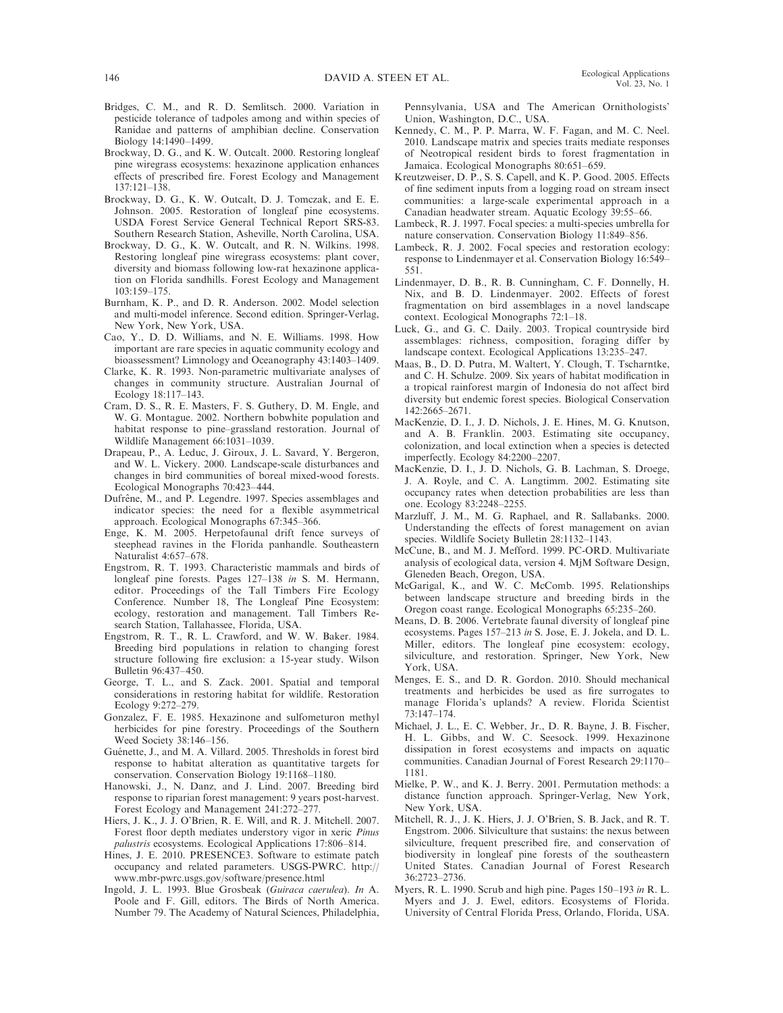- Bridges, C. M., and R. D. Semlitsch. 2000. Variation in pesticide tolerance of tadpoles among and within species of Ranidae and patterns of amphibian decline. Conservation Biology 14:1490–1499.
- Brockway, D. G., and K. W. Outcalt. 2000. Restoring longleaf pine wiregrass ecosystems: hexazinone application enhances effects of prescribed fire. Forest Ecology and Management 137:121–138.
- Brockway, D. G., K. W. Outcalt, D. J. Tomczak, and E. E. Johnson. 2005. Restoration of longleaf pine ecosystems. USDA Forest Service General Technical Report SRS-83. Southern Research Station, Asheville, North Carolina, USA.
- Brockway, D. G., K. W. Outcalt, and R. N. Wilkins. 1998. Restoring longleaf pine wiregrass ecosystems: plant cover, diversity and biomass following low-rat hexazinone application on Florida sandhills. Forest Ecology and Management 103:159–175.
- Burnham, K. P., and D. R. Anderson. 2002. Model selection and multi-model inference. Second edition. Springer-Verlag, New York, New York, USA.
- Cao, Y., D. D. Williams, and N. E. Williams. 1998. How important are rare species in aquatic community ecology and bioassessment? Limnology and Oceanography 43:1403–1409.
- Clarke, K. R. 1993. Non-parametric multivariate analyses of changes in community structure. Australian Journal of Ecology 18:117–143.
- Cram, D. S., R. E. Masters, F. S. Guthery, D. M. Engle, and W. G. Montague. 2002. Northern bobwhite population and habitat response to pine–grassland restoration. Journal of Wildlife Management 66:1031–1039.
- Drapeau, P., A. Leduc, J. Giroux, J. L. Savard, Y. Bergeron, and W. L. Vickery. 2000. Landscape-scale disturbances and changes in bird communities of boreal mixed-wood forests. Ecological Monographs 70:423–444.
- Dufrêne, M., and P. Legendre. 1997. Species assemblages and indicator species: the need for a flexible asymmetrical approach. Ecological Monographs 67:345–366.
- Enge, K. M. 2005. Herpetofaunal drift fence surveys of steephead ravines in the Florida panhandle. Southeastern Naturalist 4:657–678.
- Engstrom, R. T. 1993. Characteristic mammals and birds of longleaf pine forests. Pages 127–138 in S. M. Hermann, editor. Proceedings of the Tall Timbers Fire Ecology Conference. Number 18, The Longleaf Pine Ecosystem: ecology, restoration and management. Tall Timbers Research Station, Tallahassee, Florida, USA.
- Engstrom, R. T., R. L. Crawford, and W. W. Baker. 1984. Breeding bird populations in relation to changing forest structure following fire exclusion: a 15-year study. Wilson Bulletin 96:437–450.
- George, T. L., and S. Zack. 2001. Spatial and temporal considerations in restoring habitat for wildlife. Restoration Ecology 9:272–279.
- Gonzalez, F. E. 1985. Hexazinone and sulfometuron methyl herbicides for pine forestry. Proceedings of the Southern Weed Society 38:146–156.
- Guénette, J., and M. A. Villard. 2005. Thresholds in forest bird response to habitat alteration as quantitative targets for conservation. Conservation Biology 19:1168–1180.
- Hanowski, J., N. Danz, and J. Lind. 2007. Breeding bird response to riparian forest management: 9 years post-harvest. Forest Ecology and Management 241:272–277.
- Hiers, J. K., J. J. O'Brien, R. E. Will, and R. J. Mitchell. 2007. Forest floor depth mediates understory vigor in xeric *Pinus* palustris ecosystems. Ecological Applications 17:806-814.
- Hines, J. E. 2010. PRESENCE3. Software to estimate patch occupancy and related parameters. USGS-PWRC. http:// www.mbr-pwrc.usgs.gov/software/presence.html
- Ingold, J. L. 1993. Blue Grosbeak (Guiraca caerulea). In A. Poole and F. Gill, editors. The Birds of North America. Number 79. The Academy of Natural Sciences, Philadelphia,

Pennsylvania, USA and The American Ornithologists' Union, Washington, D.C., USA.

- Kennedy, C. M., P. P. Marra, W. F. Fagan, and M. C. Neel. 2010. Landscape matrix and species traits mediate responses of Neotropical resident birds to forest fragmentation in Jamaica. Ecological Monographs 80:651–659.
- Kreutzweiser, D. P., S. S. Capell, and K. P. Good. 2005. Effects of fine sediment inputs from a logging road on stream insect communities: a large-scale experimental approach in a Canadian headwater stream. Aquatic Ecology 39:55–66.
- Lambeck, R. J. 1997. Focal species: a multi-species umbrella for nature conservation. Conservation Biology 11:849–856.
- Lambeck, R. J. 2002. Focal species and restoration ecology: response to Lindenmayer et al. Conservation Biology 16:549– 551.
- Lindenmayer, D. B., R. B. Cunningham, C. F. Donnelly, H. Nix, and B. D. Lindenmayer. 2002. Effects of forest fragmentation on bird assemblages in a novel landscape context. Ecological Monographs 72:1–18.
- Luck, G., and G. C. Daily. 2003. Tropical countryside bird assemblages: richness, composition, foraging differ by landscape context. Ecological Applications 13:235–247.
- Maas, B., D. D. Putra, M. Waltert, Y. Clough, T. Tscharntke, and C. H. Schulze. 2009. Six years of habitat modification in a tropical rainforest margin of Indonesia do not affect bird diversity but endemic forest species. Biological Conservation 142:2665–2671.
- MacKenzie, D. I., J. D. Nichols, J. E. Hines, M. G. Knutson, and A. B. Franklin. 2003. Estimating site occupancy, colonization, and local extinction when a species is detected imperfectly. Ecology 84:2200–2207.
- MacKenzie, D. I., J. D. Nichols, G. B. Lachman, S. Droege, J. A. Royle, and C. A. Langtimm. 2002. Estimating site occupancy rates when detection probabilities are less than one. Ecology 83:2248–2255.
- Marzluff, J. M., M. G. Raphael, and R. Sallabanks. 2000. Understanding the effects of forest management on avian species. Wildlife Society Bulletin 28:1132–1143.
- McCune, B., and M. J. Mefford. 1999. PC-ORD. Multivariate analysis of ecological data, version 4. MjM Software Design, Gleneden Beach, Oregon, USA.
- McGarigal, K., and W. C. McComb. 1995. Relationships between landscape structure and breeding birds in the Oregon coast range. Ecological Monographs 65:235–260.
- Means, D. B. 2006. Vertebrate faunal diversity of longleaf pine ecosystems. Pages 157–213 in S. Jose, E. J. Jokela, and D. L. Miller, editors. The longleaf pine ecosystem: ecology, silviculture, and restoration. Springer, New York, New York, USA.
- Menges, E. S., and D. R. Gordon. 2010. Should mechanical treatments and herbicides be used as fire surrogates to manage Florida's uplands? A review. Florida Scientist 73:147–174.
- Michael, J. L., E. C. Webber, Jr., D. R. Bayne, J. B. Fischer, H. L. Gibbs, and W. C. Seesock. 1999. Hexazinone dissipation in forest ecosystems and impacts on aquatic communities. Canadian Journal of Forest Research 29:1170– 1181.
- Mielke, P. W., and K. J. Berry. 2001. Permutation methods: a distance function approach. Springer-Verlag, New York, New York, USA.
- Mitchell, R. J., J. K. Hiers, J. J. O'Brien, S. B. Jack, and R. T. Engstrom. 2006. Silviculture that sustains: the nexus between silviculture, frequent prescribed fire, and conservation of biodiversity in longleaf pine forests of the southeastern United States. Canadian Journal of Forest Research 36:2723–2736.
- Myers, R. L. 1990. Scrub and high pine. Pages 150–193 in R. L. Myers and J. J. Ewel, editors. Ecosystems of Florida. University of Central Florida Press, Orlando, Florida, USA.